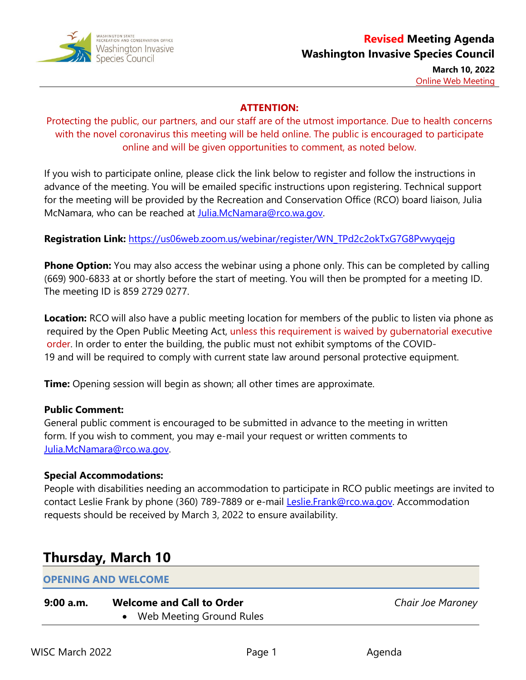

**March 10, 2022** Online Web Meeting

# **ATTENTION:**

Protecting the public, our partners, and our staff are of the utmost importance. Due to health concerns with the novel coronavirus this meeting will be held online. The public is encouraged to participate online and will be given opportunities to comment, as noted below.

If you wish to participate online, please click the link below to register and follow the instructions in advance of the meeting. You will be emailed specific instructions upon registering. Technical support for the meeting will be provided by the Recreation and Conservation Office (RCO) board liaison, Julia McNamara, who can be reached at [Julia.McNamara@rco.wa.gov.](mailto:Julia.McNamara@rco.wa.gov)

# **Registration Link:** [https://us06web.zoom.us/webinar/register/WN\\_TPd2c2okTxG7G8Pvwyqejg](https://us06web.zoom.us/webinar/register/WN_TPd2c2okTxG7G8Pvwyqejg)

**Phone Option:** You may also access the webinar using a phone only. This can be completed by calling (669) 900-6833 at or shortly before the start of meeting. You will then be prompted for a meeting ID. The meeting ID is 859 2729 0277.

**Location:** RCO will also have a public meeting location for members of the public to listen via phone as required by the Open Public Meeting Act, unless this requirement is waived by gubernatorial executive order. In order to enter the building, the public must not exhibit symptoms of the COVID-19 and will be required to comply with current state law around personal protective equipment.

**Time:** Opening session will begin as shown; all other times are approximate.

# **Public Comment:**

General public comment is encouraged to be submitted in advance to the meeting in written form. If you wish to comment, you may e-mail your request or written comments to [Julia.McNamara@rco.wa.gov.](mailto:Wyatt.Lundquist@rco.wa.gov)

# **Special Accommodations:**

People with disabilities needing an accommodation to participate in RCO public meetings are invited to contact Leslie Frank by phone (360) 789-7889 or e-mail [Leslie.Frank@rco.wa.gov.](mailto:Leslie.Frank@rco.wa.gov) Accommodation requests should be received by March 3, 2022 to ensure availability.

# **Thursday, March 10**

# **OPENING AND WELCOME**

# **9:00 a.m. Welcome and Call to Order**

Web Meeting Ground Rules

*Chair Joe Maroney*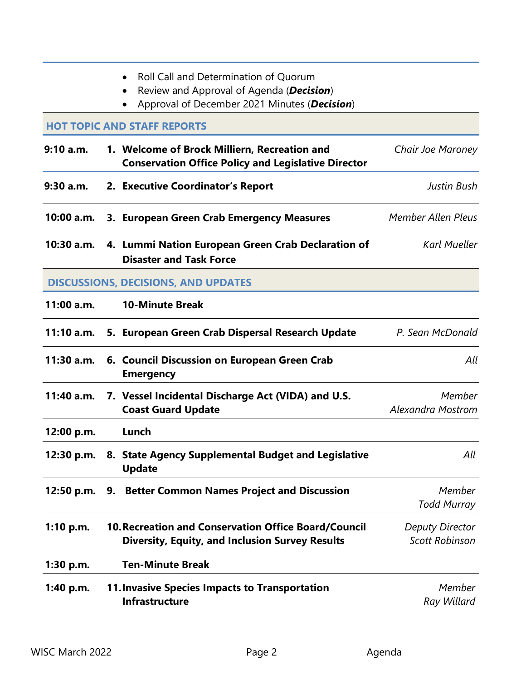- Review and Approval of Agenda (*Decision*)
- Approval of December 2021 Minutes (*Decision*)

#### **HOT TOPIC AND STAFF REPORTS**

- **9:10 a.m. 1. Welcome of Brock Milliern, Recreation and Conservation Office Policy and Legislative Director** *Chair Joe Maroney* **9:30 a.m. 2. Executive Coordinator's Report** *Justin Bush*
- **10:00 a.m. 3. European Green Crab Emergency Measures** *Member Allen Pleus*
- **10:30 a.m. 4. Lummi Nation European Green Crab Declaration of Disaster and Task Force** *Karl Mueller*

### **DISCUSSIONS, DECISIONS, AND UPDATES**

| 11:00 a.m.  | <b>10-Minute Break</b>                                                                                                |                                          |
|-------------|-----------------------------------------------------------------------------------------------------------------------|------------------------------------------|
| 11:10 a.m.  | 5. European Green Crab Dispersal Research Update                                                                      | P. Sean McDonald                         |
| 11:30 a.m.  | 6. Council Discussion on European Green Crab<br><b>Emergency</b>                                                      | All                                      |
| 11:40 a.m.  | 7. Vessel Incidental Discharge Act (VIDA) and U.S.<br><b>Coast Guard Update</b>                                       | Member<br><b>Alexandra Mostrom</b>       |
| 12:00 p.m.  | Lunch                                                                                                                 |                                          |
| 12:30 p.m.  | 8. State Agency Supplemental Budget and Legislative<br><b>Update</b>                                                  | All                                      |
| 12:50 p.m.  | 9. Better Common Names Project and Discussion                                                                         | Member<br><b>Todd Murray</b>             |
| 1:10 p.m.   | <b>10. Recreation and Conservation Office Board/Council</b><br><b>Diversity, Equity, and Inclusion Survey Results</b> | Deputy Director<br><b>Scott Robinson</b> |
| $1:30$ p.m. | <b>Ten-Minute Break</b>                                                                                               |                                          |
| 1:40 p.m.   | <b>11. Invasive Species Impacts to Transportation</b><br><b>Infrastructure</b>                                        | Member<br>Ray Willard                    |